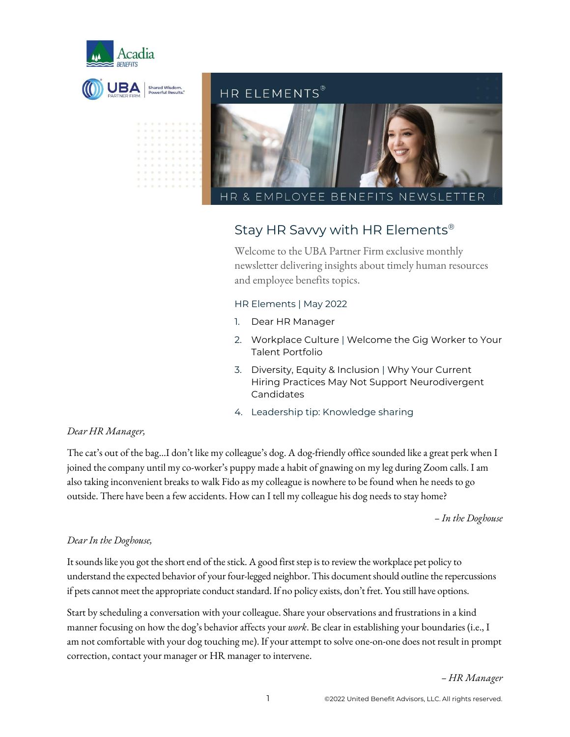



### Stay HR Savvy with HR Elements®

Welcome to the UBA Partner Firm exclusive monthly newsletter delivering insights about timely human resources and employee benefits topics.

#### HR Elements | May 2022

- 1. Dear HR Manager
- 2. Workplace Culture | Welcome the Gig Worker to Your Talent Portfolio
- 3. Diversity, Equity & Inclusion | Why Your Current Hiring Practices May Not Support Neurodivergent Candidates
- 4. Leadership tip: Knowledge sharing

#### *Dear HR Manager,*

The cat's out of the bag…I don't like my colleague's dog. A dog-friendly office sounded like a great perk when I joined the company until my co-worker's puppy made a habit of gnawing on my leg during Zoom calls. I am also taking inconvenient breaks to walk Fido as my colleague is nowhere to be found when he needs to go outside. There have been a few accidents. How can I tell my colleague his dog needs to stay home?

*– In the Doghouse*

#### *Dear In the Doghouse,*

It sounds like you got the short end of the stick. A good first step is to review the workplace pet policy to understand the expected behavior of your four-legged neighbor. This document should outline the repercussions if pets cannot meet the appropriate conduct standard. If no policy exists, don't fret. You still have options.

Start by scheduling a conversation with your colleague. Share your observations and frustrations in a kind manner focusing on how the dog's behavior affects your *work*. Be clear in establishing your boundaries (i.e., I am not comfortable with your dog touching me). If your attempt to solve one-on-one does not result in prompt correction, contact your manager or HR manager to intervene.

*– HR Manager*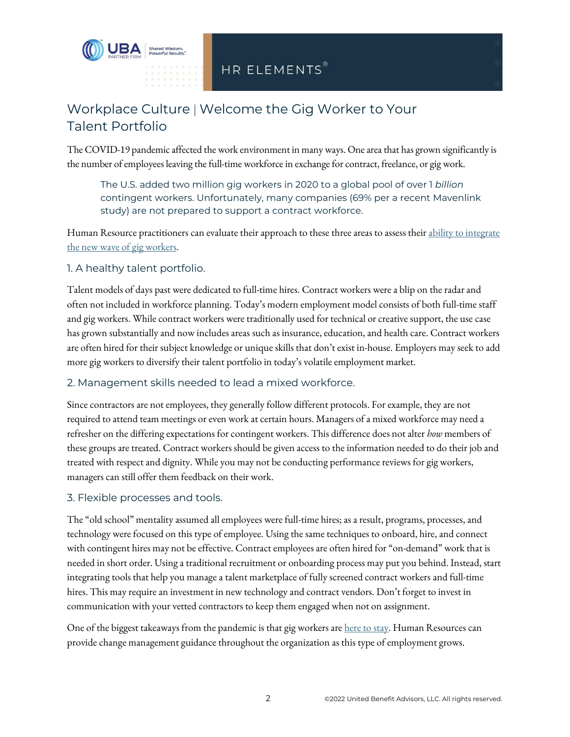

## Workplace Culture | Welcome the Gig Worker to Your Talent Portfolio

The COVID-19 pandemic affected the work environment in many ways. One area that has grown significantly is the number of employees leaving the full-time workforce in exchange for contract, freelance, or gig work.

The U.S. added two million gig workers in 2020 to a global pool of over 1 *billion* contingent workers. Unfortunately, many companies (69% per a recent Mavenlink study) are not prepared to support a contract workforce.

Human Resource practitioners can evaluate their approach to these three areas to assess thei[r ability to integrate](https://www.shrm.org/resourcesandtools/hr-topics/employee-relations/pages/managing-gig-workers-.aspx) [the new wave of gig workers.](https://www.shrm.org/resourcesandtools/hr-topics/employee-relations/pages/managing-gig-workers-.aspx)

#### 1. A healthy talent portfolio.

Talent models of days past were dedicated to full-time hires. Contract workers were a blip on the radar and often not included in workforce planning. Today's modern employment model consists of both full-time staff and gig workers. While contract workers were traditionally used for technical or creative support, the use case has grown substantially and now includes areas such as insurance, education, and health care. Contract workers are often hired for their subject knowledge or unique skills that don't exist in-house. Employers may seek to add more gig workers to diversify their talent portfolio in today's volatile employment market.

#### 2. Management skills needed to lead a mixed workforce.

Since contractors are not employees, they generally follow different protocols. For example, they are not required to attend team meetings or even work at certain hours. Managers of a mixed workforce may need a refresher on the differing expectations for contingent workers. This difference does not alter *how* members of these groups are treated. Contract workers should be given access to the information needed to do their job and treated with respect and dignity. While you may not be conducting performance reviews for gig workers, managers can still offer them feedback on their work.

#### 3. Flexible processes and tools.

The "old school" mentality assumed all employees were full-time hires; as a result, programs, processes, and technology were focused on this type of employee. Using the same techniques to onboard, hire, and connect with contingent hires may not be effective. Contract employees are often hired for "on-demand" work that is needed in short order. Using a traditional recruitment or onboarding process may put you behind. Instead, start integrating tools that help you manage a talent marketplace of fully screened contract workers and full-time hires. This may require an investment in new technology and contract vendors. Don't forget to invest in communication with your vetted contractors to keep them engaged when not on assignment.

One of the biggest takeaways from the pandemic is that gig workers are [here to stay.](https://www.forbes.com/sites/forbesbusinesscouncil/2021/08/12/will-the-gig-economy-become-the-new-working-class-norm/?sh=63510374aee6) Human Resources can provide change management guidance throughout the organization as this type of employment grows.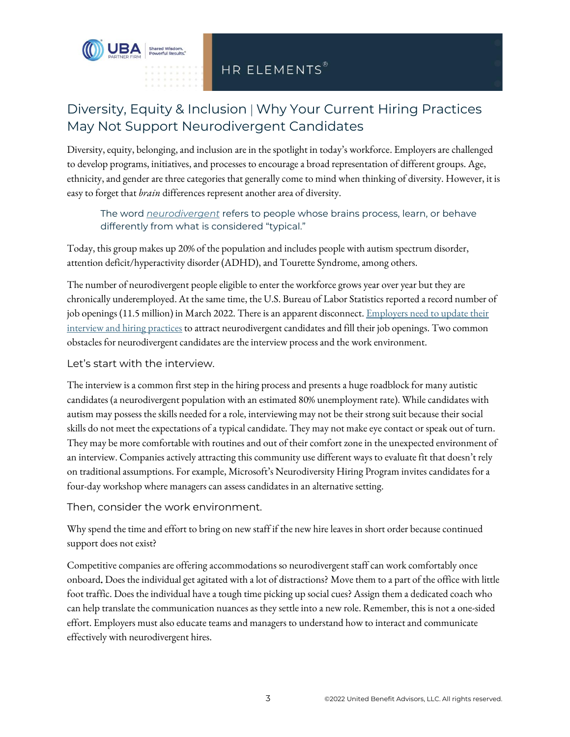

## Diversity, Equity & Inclusion | Why Your Current Hiring Practices May Not Support Neurodivergent Candidates

Diversity, equity, belonging,and inclusion are in the spotlight in today's workforce. Employers are challenged to develop programs, initiatives, and processes to encourage a broad representation of different groups. Age, ethnicity, and gender are three categories that generally come to mind when thinking of diversity. However, it is easy to forget that *brain* differences represent another area of diversity.

The word *[neurodivergent](https://www.planetneurodivergent.com/neurodiversity-and-neurodivergent-basic-terminology/)* refers to people whose brains process, learn, or behave differently from what is considered "typical."

Today, this group makes up 20% of the population and includes people with autism spectrum disorder, attention deficit/hyperactivity disorder (ADHD), and Tourette Syndrome, among others.

The number of neurodivergent people eligible to enter the workforce grows year over year but they are chronically underemployed. At the same time, the U.S. Bureau of Labor Statistics reported a record number of job openings (11.5 million) in March 2022. There is an apparent disconnect. Employers need to update their [interview and hiring practices](https://hbr.org/2022/02/is-your-company-inclusive-of-neurodivergent-employees) to attract neurodivergent candidates and fill their job openings. Two common obstacles for neurodivergent candidates are the interview process and the work environment.

Let's start with the interview.

The interview is a common first step in the hiring processand presents a huge roadblock for many autistic candidates (a neurodivergent population with an estimated 80% unemployment rate). While candidates with autism may possess the skills needed for a role, interviewing may not be their strong suit because their social skills do not meet the expectations of a typical candidate. They may not make eye contact or speak out of turn. They may be more comfortable with routines and out of their comfort zone in the unexpected environment of an interview. Companies actively attracting this community use different ways to evaluate fit that doesn't rely on traditional assumptions. For example, Microsoft's Neurodiversity Hiring Program invites candidates for a four-day workshop where managers can assess candidates in an alternative setting.

Then, consider the work environment.

Why spend the time and effort to bring on new staff if the new hire leaves in short order because continued support does not exist?

Competitive companies are offering accommodations so neurodivergent staff can work comfortably once onboard. Does the individual get agitated with a lot of distractions? Move them to a part of the office with little foot traffic. Does the individual have a tough time picking up social cues? Assign them a dedicated coach who can help translate the communication nuances as they settle into a new role. Remember, this is not a one-sided effort. Employers must also educate teams and managers to understand how to interact and communicate effectively with neurodivergent hires.